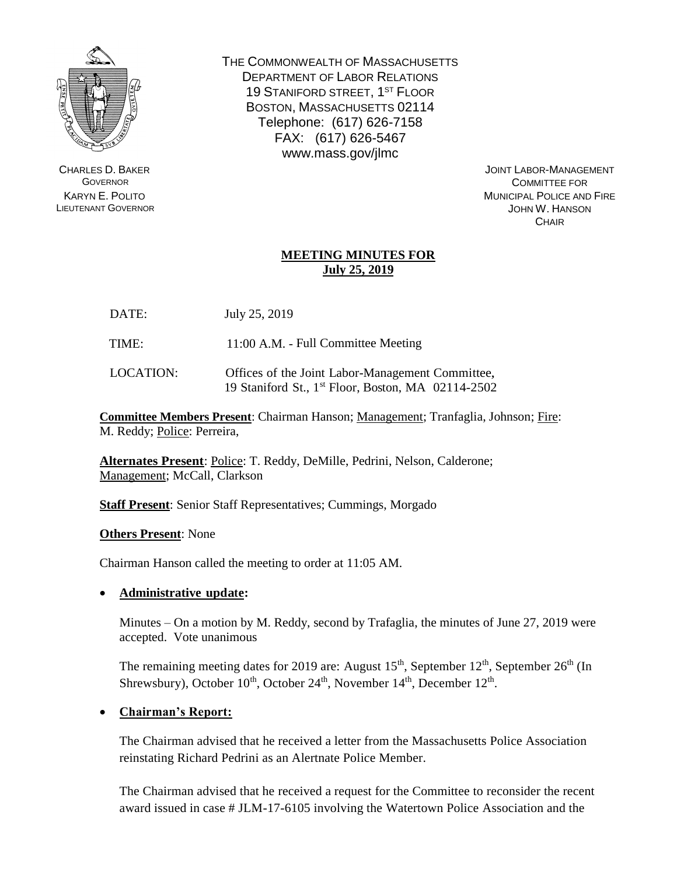

CHARLES D. BAKER **GOVERNOR** KARYN E. POLITO LIEUTENANT GOVERNOR THE COMMONWEALTH OF MASSACHUSETTS DEPARTMENT OF LABOR RELATIONS 19 STANIFORD STREET, 1<sup>ST</sup> FLOOR BOSTON, MASSACHUSETTS 02114 Telephone: (617) 626-7158 FAX: (617) 626-5467 www.mass.gov/jlmc

> JOINT LABOR-MANAGEMENT COMMITTEE FOR MUNICIPAL POLICE AND FIRE JOHN W. HANSON **CHAIR**

# **MEETING MINUTES FOR July 25, 2019**

- DATE: July 25, 2019
- TIME: 11:00 A.M. Full Committee Meeting
- LOCATION: Offices of the Joint Labor-Management Committee, 19 Staniford St., 1 st Floor, Boston, MA 02114-2502

**Committee Members Present**: Chairman Hanson; Management; Tranfaglia, Johnson; Fire: M. Reddy; Police: Perreira,

**Alternates Present**: Police: T. Reddy, DeMille, Pedrini, Nelson, Calderone; Management; McCall, Clarkson

**Staff Present**: Senior Staff Representatives; Cummings, Morgado

**Others Present**: None

Chairman Hanson called the meeting to order at 11:05 AM.

# • **Administrative update:**

Minutes – On a motion by M. Reddy, second by Trafaglia, the minutes of June 27, 2019 were accepted. Vote unanimous

The remaining meeting dates for 2019 are: August  $15<sup>th</sup>$ , September  $12<sup>th</sup>$ , September  $26<sup>th</sup>$  (In Shrewsbury), October  $10^{th}$ , October  $24^{th}$ , November  $14^{th}$ , December  $12^{th}$ .

# • **Chairman's Report:**

The Chairman advised that he received a letter from the Massachusetts Police Association reinstating Richard Pedrini as an Alertnate Police Member.

The Chairman advised that he received a request for the Committee to reconsider the recent award issued in case # JLM-17-6105 involving the Watertown Police Association and the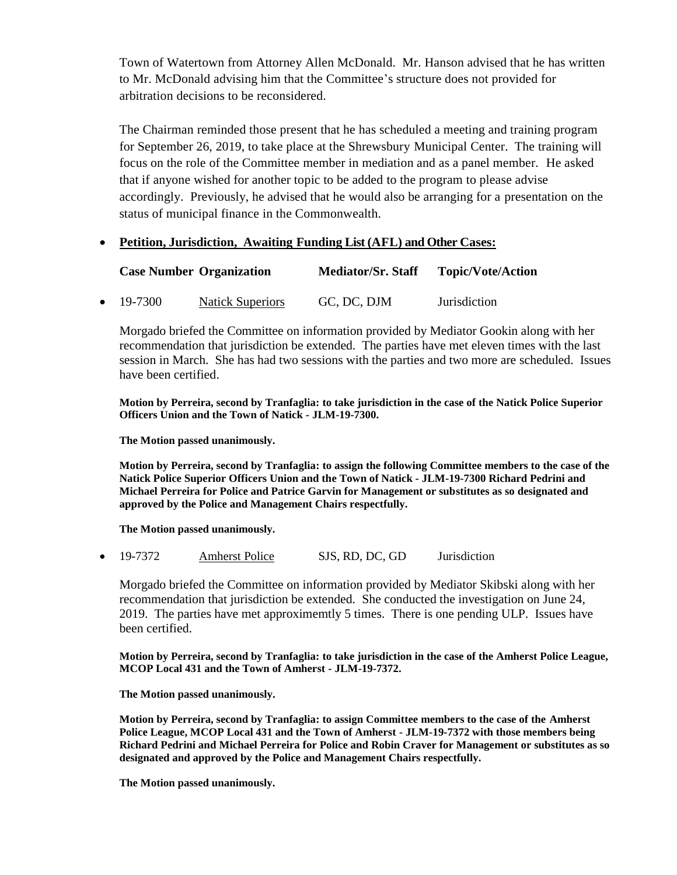Town of Watertown from Attorney Allen McDonald. Mr. Hanson advised that he has written to Mr. McDonald advising him that the Committee's structure does not provided for arbitration decisions to be reconsidered.

The Chairman reminded those present that he has scheduled a meeting and training program for September 26, 2019, to take place at the Shrewsbury Municipal Center. The training will focus on the role of the Committee member in mediation and as a panel member. He asked that if anyone wished for another topic to be added to the program to please advise accordingly. Previously, he advised that he would also be arranging for a presentation on the status of municipal finance in the Commonwealth.

## • **Petition, Jurisdiction, Awaiting Funding List (AFL) and Other Cases:**

| <b>Case Number Organization</b> |                         | <b>Mediator/Sr. Staff</b> | <b>Topic/Vote/Action</b> |
|---------------------------------|-------------------------|---------------------------|--------------------------|
| $\bullet$ 19-7300               | <b>Natick Superiors</b> | GC, DC, DJM               | <b>Jurisdiction</b>      |

Morgado briefed the Committee on information provided by Mediator Gookin along with her recommendation that jurisdiction be extended. The parties have met eleven times with the last session in March. She has had two sessions with the parties and two more are scheduled. Issues have been certified.

**Motion by Perreira, second by Tranfaglia: to take jurisdiction in the case of the Natick Police Superior Officers Union and the Town of Natick - JLM-19-7300.**

**The Motion passed unanimously.**

**Motion by Perreira, second by Tranfaglia: to assign the following Committee members to the case of the Natick Police Superior Officers Union and the Town of Natick - JLM-19-7300 Richard Pedrini and Michael Perreira for Police and Patrice Garvin for Management or substitutes as so designated and approved by the Police and Management Chairs respectfully.**

**The Motion passed unanimously.**

• 19-7372 Amherst Police SJS, RD, DC, GD Jurisdiction

Morgado briefed the Committee on information provided by Mediator Skibski along with her recommendation that jurisdiction be extended. She conducted the investigation on June 24, 2019. The parties have met approximemtly 5 times. There is one pending ULP. Issues have been certified.

**Motion by Perreira, second by Tranfaglia: to take jurisdiction in the case of the Amherst Police League, MCOP Local 431 and the Town of Amherst - JLM-19-7372.**

**The Motion passed unanimously.**

**Motion by Perreira, second by Tranfaglia: to assign Committee members to the case of the Amherst Police League, MCOP Local 431 and the Town of Amherst - JLM-19-7372 with those members being Richard Pedrini and Michael Perreira for Police and Robin Craver for Management or substitutes as so designated and approved by the Police and Management Chairs respectfully.**

**The Motion passed unanimously.**